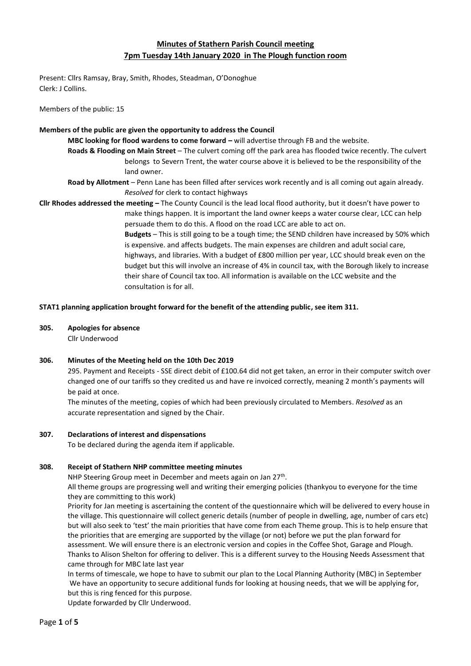# **Minutes of Stathern Parish Council meeting 7pm Tuesday 14th January 2020 in The Plough function room**

Present: Cllrs Ramsay, Bray, Smith, Rhodes, Steadman, O'Donoghue Clerk: J Collins.

Members of the public: 15

#### **Members of the public are given the opportunity to address the Council**

**MBC looking for flood wardens to come forward –** will advertise through FB and the website.

- **Roads & Flooding on Main Street** The culvert coming off the park area has flooded twice recently. The culvert belongs to Severn Trent, the water course above it is believed to be the responsibility of the land owner.
- **Road by Allotment** Penn Lane has been filled after services work recently and is all coming out again already. *Resolved* for clerk to contact highways

**Cllr Rhodes addressed the meeting –** The County Council is the lead local flood authority, but it doesn't have power to make things happen. It is important the land owner keeps a water course clear, LCC can help persuade them to do this. A flood on the road LCC are able to act on.

> **Budgets** – This is still going to be a tough time; the SEND children have increased by 50% which is expensive. and affects budgets. The main expenses are children and adult social care, highways, and libraries. With a budget of £800 million per year, LCC should break even on the budget but this will involve an increase of 4% in council tax, with the Borough likely to increase their share of Council tax too. All information is available on the LCC website and the consultation is for all.

### **STAT1 planning application brought forward for the benefit of the attending public, see item 311.**

**305. Apologies for absence**

Cllr Underwood

### **306. Minutes of the Meeting held on the 10th Dec 2019**

295. Payment and Receipts - SSE direct debit of £100.64 did not get taken, an error in their computer switch over changed one of our tariffs so they credited us and have re invoiced correctly, meaning 2 month's payments will be paid at once.

The minutes of the meeting, copies of which had been previously circulated to Members. *Resolved* as an accurate representation and signed by the Chair.

### **307. Declarations of interest and dispensations**

To be declared during the agenda item if applicable.

### **308. Receipt of Stathern NHP committee meeting minutes**

NHP Steering Group meet in December and meets again on Jan 27<sup>th</sup>.

All theme groups are progressing well and writing their emerging policies (thankyou to everyone for the time they are committing to this work)

Priority for Jan meeting is ascertaining the content of the questionnaire which will be delivered to every house in the village. This questionnaire will collect generic details (number of people in dwelling, age, number of cars etc) but will also seek to 'test' the main priorities that have come from each Theme group. This is to help ensure that the priorities that are emerging are supported by the village (or not) before we put the plan forward for assessment. We will ensure there is an electronic version and copies in the Coffee Shot, Garage and Plough. Thanks to Alison Shelton for offering to deliver. This is a different survey to the Housing Needs Assessment that came through for MBC late last year

In terms of timescale, we hope to have to submit our plan to the Local Planning Authority (MBC) in September We have an opportunity to secure additional funds for looking at housing needs, that we will be applying for, but this is ring fenced for this purpose.

Update forwarded by Cllr Underwood.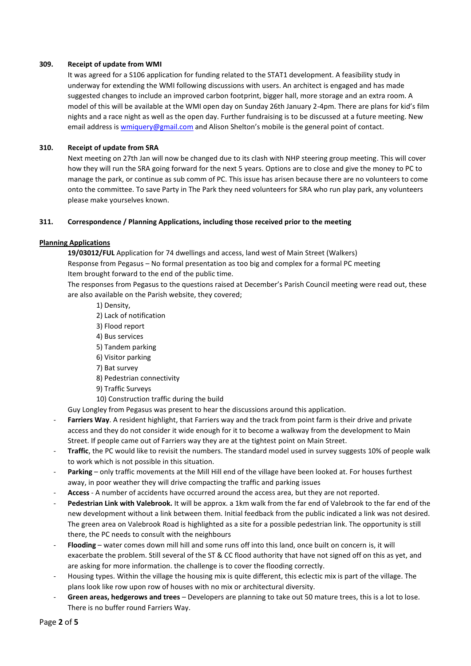### **309. Receipt of update from WMI**

It was agreed for a S106 application for funding related to the STAT1 development. A feasibility study in underway for extending the WMI following discussions with users. An architect is engaged and has made suggested changes to include an improved carbon footprint, bigger hall, more storage and an extra room. A model of this will be available at the WMI open day on Sunday 26th January 2-4pm. There are plans for kid's film nights and a race night as well as the open day. Further fundraising is to be discussed at a future meeting. New email address i[s wmiquery@gmail.com](mailto:wmiquery@gmail.com) and Alison Shelton's mobile is the general point of contact.

## **310. Receipt of update from SRA**

Next meeting on 27th Jan will now be changed due to its clash with NHP steering group meeting. This will cover how they will run the SRA going forward for the next 5 years. Options are to close and give the money to PC to manage the park, or continue as sub comm of PC. This issue has arisen because there are no volunteers to come onto the committee. To save Party in The Park they need volunteers for SRA who run play park, any volunteers please make yourselves known.

### **311. Correspondence / Planning Applications, including those received prior to the meeting**

### **Planning Applications**

**19/03012/FUL** Application for 74 dwellings and access, land west of Main Street (Walkers) Response from Pegasus – No formal presentation as too big and complex for a formal PC meeting Item brought forward to the end of the public time.

The responses from Pegasus to the questions raised at December's Parish Council meeting were read out, these are also available on the Parish website, they covered;

- 1) Density,
- 2) Lack of notification
- 3) Flood report
- 4) Bus services
- 5) Tandem parking
- 6) Visitor parking
- 7) Bat survey
- 8) Pedestrian connectivity
- 9) Traffic Surveys
- 10) Construction traffic during the build

Guy Longley from Pegasus was present to hear the discussions around this application.

- Farriers Way. A resident highlight, that Farriers way and the track from point farm is their drive and private access and they do not consider it wide enough for it to become a walkway from the development to Main Street. If people came out of Farriers way they are at the tightest point on Main Street.
- **Traffic**, the PC would like to revisit the numbers. The standard model used in survey suggests 10% of people walk to work which is not possible in this situation.
- Parking only traffic movements at the Mill Hill end of the village have been looked at. For houses furthest away, in poor weather they will drive compacting the traffic and parking issues
- **Access**  A number of accidents have occurred around the access area, but they are not reported.
- **Pedestrian Link with Valebrook.** It will be approx. a 1km walk from the far end of Valebrook to the far end of the new development without a link between them. Initial feedback from the public indicated a link was not desired. The green area on Valebrook Road is highlighted as a site for a possible pedestrian link. The opportunity is still there, the PC needs to consult with the neighbours
- **Flooding** water comes down mill hill and some runs off into this land, once built on concern is, it will exacerbate the problem. Still several of the ST & CC flood authority that have not signed off on this as yet, and are asking for more information. the challenge is to cover the flooding correctly.
- Housing types. Within the village the housing mix is quite different, this eclectic mix is part of the village. The plans look like row upon row of houses with no mix or architectural diversity.
- **Green areas, hedgerows and trees** Developers are planning to take out 50 mature trees, this is a lot to lose. There is no buffer round Farriers Way.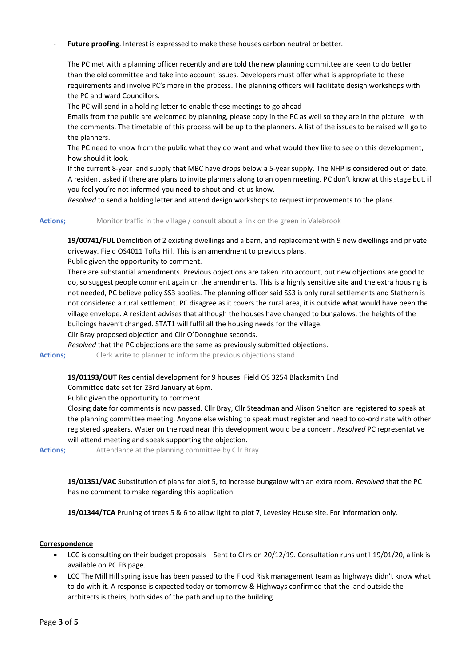### Future proofing. Interest is expressed to make these houses carbon neutral or better.

The PC met with a planning officer recently and are told the new planning committee are keen to do better than the old committee and take into account issues. Developers must offer what is appropriate to these requirements and involve PC's more in the process. The planning officers will facilitate design workshops with the PC and ward Councillors.

The PC will send in a holding letter to enable these meetings to go ahead

Emails from the public are welcomed by planning, please copy in the PC as well so they are in the picture with the comments. The timetable of this process will be up to the planners. A list of the issues to be raised will go to the planners.

The PC need to know from the public what they do want and what would they like to see on this development, how should it look.

If the current 8-year land supply that MBC have drops below a 5-year supply. The NHP is considered out of date. A resident asked if there are plans to invite planners along to an open meeting. PC don't know at this stage but, if you feel you're not informed you need to shout and let us know.

*Resolved* to send a holding letter and attend design workshops to request improvements to the plans.

Actions; Monitor traffic in the village / consult about a link on the green in Valebrook

**19/00741/FUL** Demolition of 2 existing dwellings and a barn, and replacement with 9 new dwellings and private driveway. Field OS4011 Tofts Hill. This is an amendment to previous plans.

Public given the opportunity to comment.

There are substantial amendments. Previous objections are taken into account, but new objections are good to do, so suggest people comment again on the amendments. This is a highly sensitive site and the extra housing is not needed, PC believe policy SS3 applies. The planning officer said SS3 is only rural settlements and Stathern is not considered a rural settlement. PC disagree as it covers the rural area, it is outside what would have been the village envelope. A resident advises that although the houses have changed to bungalows, the heights of the buildings haven't changed. STAT1 will fulfil all the housing needs for the village.

Cllr Bray proposed objection and Cllr O'Donoghue seconds.

*Resolved* that the PC objections are the same as previously submitted objections.

Actions; Clerk write to planner to inform the previous objections stand.

**19/01193/OUT** Residential development for 9 houses. Field OS 3254 Blacksmith End

Committee date set for 23rd January at 6pm.

Public given the opportunity to comment.

Closing date for comments is now passed. Cllr Bray, Cllr Steadman and Alison Shelton are registered to speak at the planning committee meeting. Anyone else wishing to speak must register and need to co-ordinate with other registered speakers. Water on the road near this development would be a concern. *Resolved* PC representative will attend meeting and speak supporting the objection.

Actions; Attendance at the planning committee by Cllr Bray

**19/01351/VAC** Substitution of plans for plot 5, to increase bungalow with an extra room. *Resolved* that the PC has no comment to make regarding this application.

**19/01344/TCA** Pruning of trees 5 & 6 to allow light to plot 7, Levesley House site. For information only.

#### **Correspondence**

- LCC is consulting on their budget proposals Sent to Cllrs on 20/12/19. Consultation runs until 19/01/20, a link is available on PC FB page.
- LCC The Mill Hill spring issue has been passed to the Flood Risk management team as highways didn't know what to do with it. A response is expected today or tomorrow & Highways confirmed that the land outside the architects is theirs, both sides of the path and up to the building.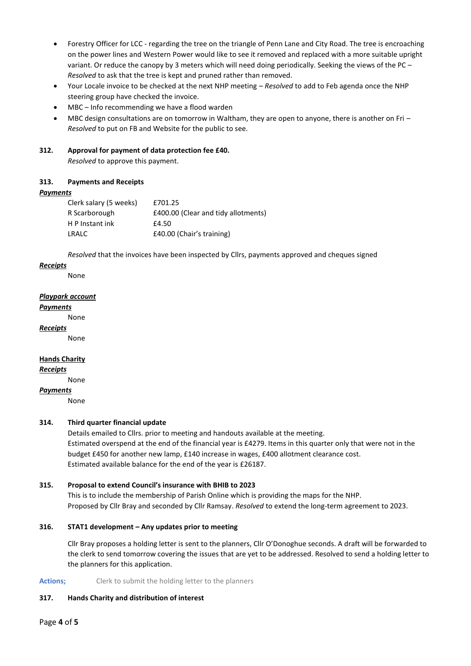- Forestry Officer for LCC regarding the tree on the triangle of Penn Lane and City Road. The tree is encroaching on the power lines and Western Power would like to see it removed and replaced with a more suitable upright variant. Or reduce the canopy by 3 meters which will need doing periodically. Seeking the views of the PC -*Resolved* to ask that the tree is kept and pruned rather than removed.
- Your Locale invoice to be checked at the next NHP meeting *Resolved* to add to Feb agenda once the NHP steering group have checked the invoice.
- MBC Info recommending we have a flood warden
- MBC design consultations are on tomorrow in Waltham, they are open to anyone, there is another on Fri *Resolved* to put on FB and Website for the public to see.

### **312. Approval for payment of data protection fee £40.**

*Resolved* to approve this payment.

### **313. Payments and Receipts**

### *Payments*

| Clerk salary (5 weeks) | £701.25                             |
|------------------------|-------------------------------------|
| R Scarborough          | £400.00 (Clear and tidy allotments) |
| H P Instant ink        | £4.50                               |
| LRALC                  | £40.00 (Chair's training)           |

*Resolved* that the invoices have been inspected by Cllrs, payments approved and cheques signed

### *Receipts*

None

### *Playpark account*

### *Payments*

None

# *Receipts*

None

# **Hands Charity**

*Receipts*

None

### *Payments*

None

# **314. Third quarter financial update**

Details emailed to Cllrs. prior to meeting and handouts available at the meeting. Estimated overspend at the end of the financial year is £4279. Items in this quarter only that were not in the budget £450 for another new lamp, £140 increase in wages, £400 allotment clearance cost. Estimated available balance for the end of the year is £26187.

### **315. Proposal to extend Council's insurance with BHIB to 2023**

This is to include the membership of Parish Online which is providing the maps for the NHP. Proposed by Cllr Bray and seconded by Cllr Ramsay. *Resolved* to extend the long-term agreement to 2023.

### **316. STAT1 development – Any updates prior to meeting**

Cllr Bray proposes a holding letter is sent to the planners, Cllr O'Donoghue seconds. A draft will be forwarded to the clerk to send tomorrow covering the issues that are yet to be addressed. Resolved to send a holding letter to the planners for this application.

### Actions; Clerk to submit the holding letter to the planners

### **317. Hands Charity and distribution of interest**